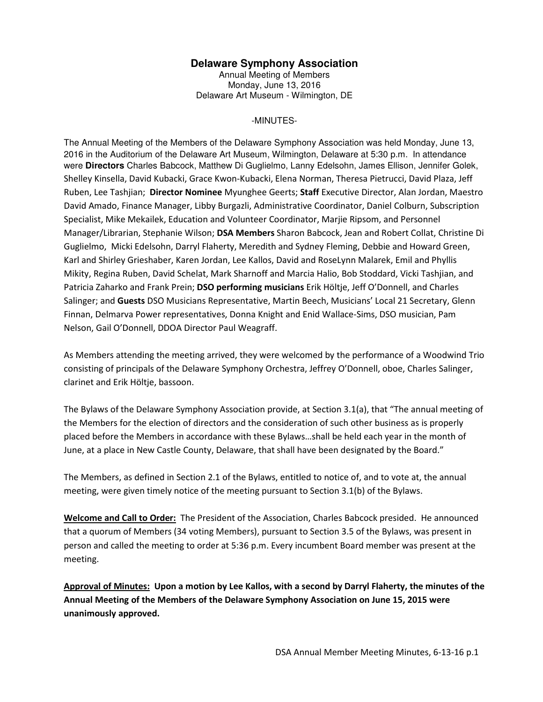## **Delaware Symphony Association**

Annual Meeting of Members Monday, June 13, 2016 Delaware Art Museum - Wilmington, DE

## -MINUTES-

The Annual Meeting of the Members of the Delaware Symphony Association was held Monday, June 13, 2016 in the Auditorium of the Delaware Art Museum, Wilmington, Delaware at 5:30 p.m. In attendance were **Directors** Charles Babcock, Matthew Di Guglielmo, Lanny Edelsohn, James Ellison, Jennifer Golek, Shelley Kinsella, David Kubacki, Grace Kwon-Kubacki, Elena Norman, Theresa Pietrucci, David Plaza, Jeff Ruben, Lee Tashjian; **Director Nominee** Myunghee Geerts; **Staff** Executive Director, Alan Jordan, Maestro David Amado, Finance Manager, Libby Burgazli, Administrative Coordinator, Daniel Colburn, Subscription Specialist, Mike Mekailek, Education and Volunteer Coordinator, Marjie Ripsom, and Personnel Manager/Librarian, Stephanie Wilson; **DSA Members** Sharon Babcock, Jean and Robert Collat, Christine Di Guglielmo, Micki Edelsohn, Darryl Flaherty, Meredith and Sydney Fleming, Debbie and Howard Green, Karl and Shirley Grieshaber, Karen Jordan, Lee Kallos, David and RoseLynn Malarek, Emil and Phyllis Mikity, Regina Ruben, David Schelat, Mark Sharnoff and Marcia Halio, Bob Stoddard, Vicki Tashjian, and Patricia Zaharko and Frank Prein; **DSO performing musicians** Erik Höltje, Jeff O'Donnell, and Charles Salinger; and **Guests** DSO Musicians Representative, Martin Beech, Musicians' Local 21 Secretary, Glenn Finnan, Delmarva Power representatives, Donna Knight and Enid Wallace-Sims, DSO musician, Pam Nelson, Gail O'Donnell, DDOA Director Paul Weagraff.

As Members attending the meeting arrived, they were welcomed by the performance of a Woodwind Trio consisting of principals of the Delaware Symphony Orchestra, Jeffrey O'Donnell, oboe, Charles Salinger, clarinet and Erik Höltje, bassoon.

The Bylaws of the Delaware Symphony Association provide, at Section 3.1(a), that "The annual meeting of the Members for the election of directors and the consideration of such other business as is properly placed before the Members in accordance with these Bylaws…shall be held each year in the month of June, at a place in New Castle County, Delaware, that shall have been designated by the Board."

The Members, as defined in Section 2.1 of the Bylaws, entitled to notice of, and to vote at, the annual meeting, were given timely notice of the meeting pursuant to Section 3.1(b) of the Bylaws.

**Welcome and Call to Order:** The President of the Association, Charles Babcock presided. He announced that a quorum of Members (34 voting Members), pursuant to Section 3.5 of the Bylaws, was present in person and called the meeting to order at 5:36 p.m. Every incumbent Board member was present at the meeting.

**Approval of Minutes: Upon a motion by Lee Kallos, with a second by Darryl Flaherty, the minutes of the Annual Meeting of the Members of the Delaware Symphony Association on June 15, 2015 were unanimously approved.**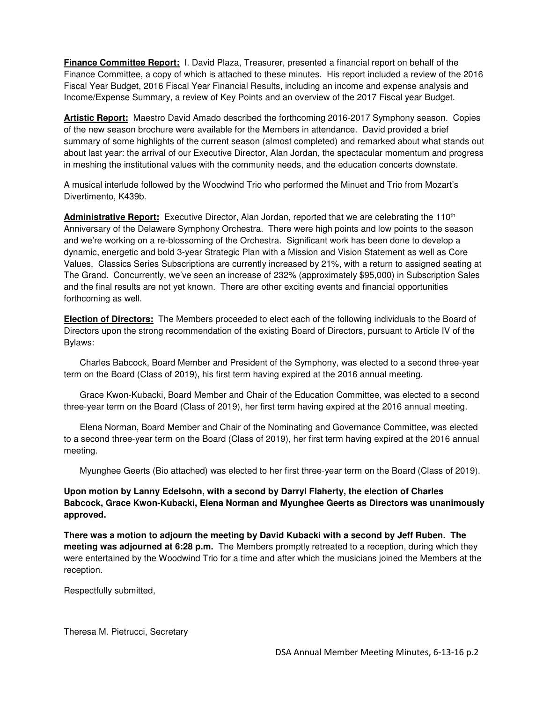**Finance Committee Report:** I. David Plaza, Treasurer, presented a financial report on behalf of the Finance Committee, a copy of which is attached to these minutes. His report included a review of the 2016 Fiscal Year Budget, 2016 Fiscal Year Financial Results, including an income and expense analysis and Income/Expense Summary, a review of Key Points and an overview of the 2017 Fiscal year Budget.

**Artistic Report:** Maestro David Amado described the forthcoming 2016-2017 Symphony season. Copies of the new season brochure were available for the Members in attendance. David provided a brief summary of some highlights of the current season (almost completed) and remarked about what stands out about last year: the arrival of our Executive Director, Alan Jordan, the spectacular momentum and progress in meshing the institutional values with the community needs, and the education concerts downstate.

A musical interlude followed by the Woodwind Trio who performed the Minuet and Trio from Mozart's Divertimento, K439b.

**Administrative Report:** Executive Director, Alan Jordan, reported that we are celebrating the 110th Anniversary of the Delaware Symphony Orchestra. There were high points and low points to the season and we're working on a re-blossoming of the Orchestra. Significant work has been done to develop a dynamic, energetic and bold 3-year Strategic Plan with a Mission and Vision Statement as well as Core Values. Classics Series Subscriptions are currently increased by 21%, with a return to assigned seating at The Grand. Concurrently, we've seen an increase of 232% (approximately \$95,000) in Subscription Sales and the final results are not yet known. There are other exciting events and financial opportunities forthcoming as well.

**Election of Directors:** The Members proceeded to elect each of the following individuals to the Board of Directors upon the strong recommendation of the existing Board of Directors, pursuant to Article IV of the Bylaws:

 Charles Babcock, Board Member and President of the Symphony, was elected to a second three-year term on the Board (Class of 2019), his first term having expired at the 2016 annual meeting.

 Grace Kwon-Kubacki, Board Member and Chair of the Education Committee, was elected to a second three-year term on the Board (Class of 2019), her first term having expired at the 2016 annual meeting.

 Elena Norman, Board Member and Chair of the Nominating and Governance Committee, was elected to a second three-year term on the Board (Class of 2019), her first term having expired at the 2016 annual meeting.

Myunghee Geerts (Bio attached) was elected to her first three-year term on the Board (Class of 2019).

## **Upon motion by Lanny Edelsohn, with a second by Darryl Flaherty, the election of Charles Babcock, Grace Kwon-Kubacki, Elena Norman and Myunghee Geerts as Directors was unanimously approved.**

**There was a motion to adjourn the meeting by David Kubacki with a second by Jeff Ruben. The meeting was adjourned at 6:28 p.m.** The Members promptly retreated to a reception, during which they were entertained by the Woodwind Trio for a time and after which the musicians joined the Members at the reception.

Respectfully submitted,

Theresa M. Pietrucci, Secretary